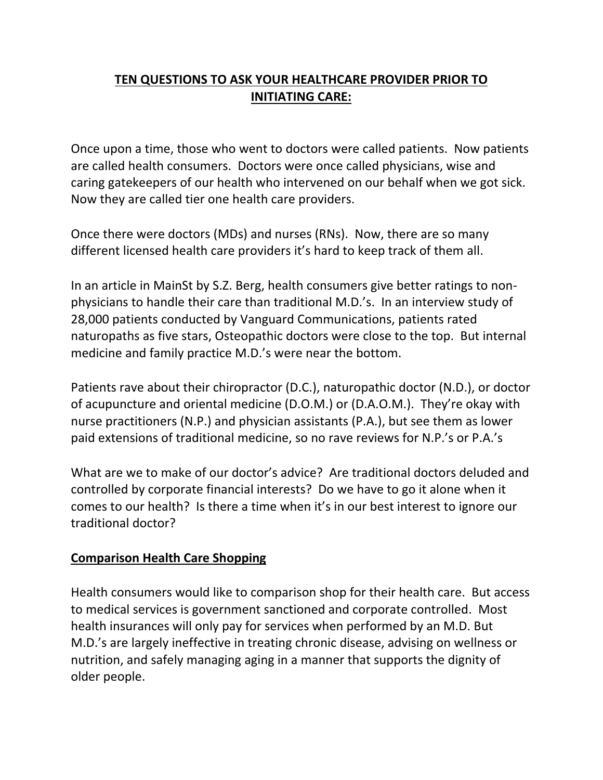## **TEN QUESTIONS TO ASK YOUR HEALTHCARE PROVIDER PRIOR TO INITIATING CARE:**

Once upon a time, those who went to doctors were called patients. Now patients are called health consumers. Doctors were once called physicians, wise and caring gatekeepers of our health who intervened on our behalf when we got sick. Now they are called tier one health care providers.

Once there were doctors (MDs) and nurses (RNs). Now, there are so many different licensed health care providers it's hard to keep track of them all.

In an article in MainSt by S.Z. Berg, health consumers give better ratings to nonphysicians to handle their care than traditional M.D.'s. In an interview study of 28,000 patients conducted by Vanguard Communications, patients rated naturopaths as five stars, Osteopathic doctors were close to the top. But internal medicine and family practice M.D.'s were near the bottom.

Patients rave about their chiropractor (D.C.), naturopathic doctor (N.D.), or doctor of acupuncture and oriental medicine (D.O.M.) or (D.A.O.M.). They're okay with nurse practitioners (N.P.) and physician assistants (P.A.), but see them as lower paid extensions of traditional medicine, so no rave reviews for N.P.'s or P.A.'s

What are we to make of our doctor's advice? Are traditional doctors deluded and controlled by corporate financial interests? Do we have to go it alone when it comes to our health? Is there a time when it's in our best interest to ignore our traditional doctor?

#### **Comparison Health Care Shopping**

Health consumers would like to comparison shop for their health care. But access to medical services is government sanctioned and corporate controlled. Most health insurances will only pay for services when performed by an M.D. But M.D.'s are largely ineffective in treating chronic disease, advising on wellness or nutrition, and safely managing aging in a manner that supports the dignity of older people.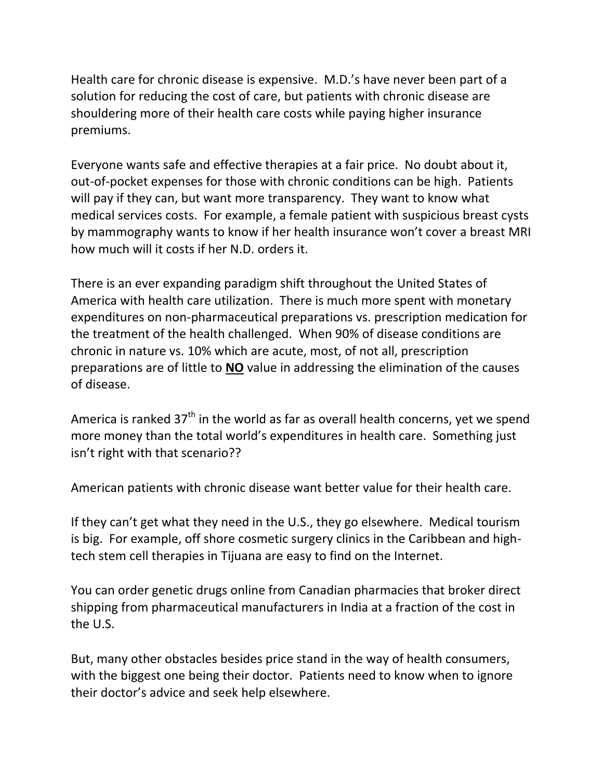Health care for chronic disease is expensive. M.D.'s have never been part of a solution for reducing the cost of care, but patients with chronic disease are shouldering more of their health care costs while paying higher insurance premiums.

Everyone wants safe and effective therapies at a fair price. No doubt about it, out-of-pocket expenses for those with chronic conditions can be high. Patients will pay if they can, but want more transparency. They want to know what medical services costs. For example, a female patient with suspicious breast cysts by mammography wants to know if her health insurance won't cover a breast MRI how much will it costs if her N.D. orders it.

There is an ever expanding paradigm shift throughout the United States of America with health care utilization. There is much more spent with monetary expenditures on non-pharmaceutical preparations vs. prescription medication for the treatment of the health challenged. When 90% of disease conditions are chronic in nature vs. 10% which are acute, most, of not all, prescription preparations are of little to **NO** value in addressing the elimination of the causes of disease.

America is ranked  $37<sup>th</sup>$  in the world as far as overall health concerns, yet we spend more money than the total world's expenditures in health care. Something just isn't right with that scenario??

American patients with chronic disease want better value for their health care.

If they can't get what they need in the U.S., they go elsewhere. Medical tourism is big. For example, off shore cosmetic surgery clinics in the Caribbean and hightech stem cell therapies in Tijuana are easy to find on the Internet.

You can order genetic drugs online from Canadian pharmacies that broker direct shipping from pharmaceutical manufacturers in India at a fraction of the cost in the U.S.

But, many other obstacles besides price stand in the way of health consumers, with the biggest one being their doctor. Patients need to know when to ignore their doctor's advice and seek help elsewhere.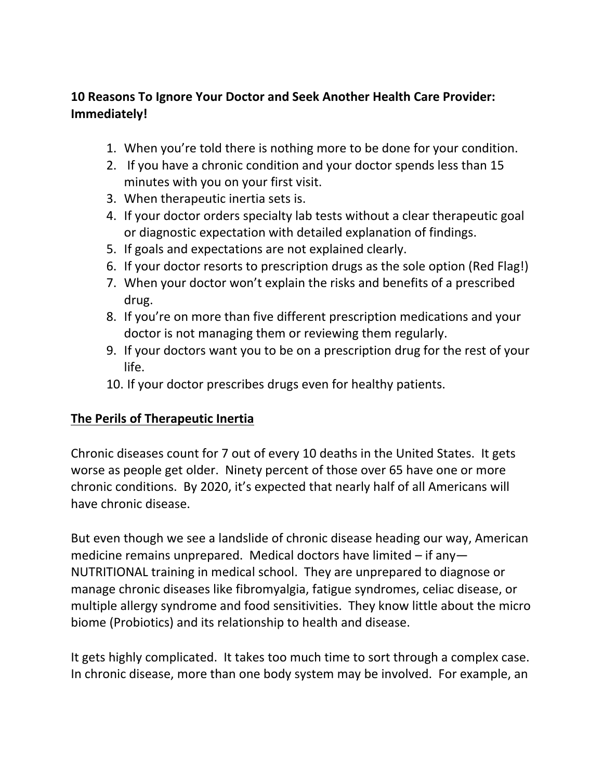### **10 Reasons To Ignore Your Doctor and Seek Another Health Care Provider: Immediately!**

- 1. When you're told there is nothing more to be done for your condition.
- 2. If you have a chronic condition and your doctor spends less than 15 minutes with you on your first visit.
- 3. When therapeutic inertia sets is.
- 4. If your doctor orders specialty lab tests without a clear therapeutic goal or diagnostic expectation with detailed explanation of findings.
- 5. If goals and expectations are not explained clearly.
- 6. If your doctor resorts to prescription drugs as the sole option (Red Flag!)
- 7. When your doctor won't explain the risks and benefits of a prescribed drug.
- 8. If you're on more than five different prescription medications and your doctor is not managing them or reviewing them regularly.
- 9. If your doctors want you to be on a prescription drug for the rest of your life.
- 10. If your doctor prescribes drugs even for healthy patients.

# **The Perils of Therapeutic Inertia**

Chronic diseases count for 7 out of every 10 deaths in the United States. It gets worse as people get older. Ninety percent of those over 65 have one or more chronic conditions. By 2020, it's expected that nearly half of all Americans will have chronic disease.

But even though we see a landslide of chronic disease heading our way, American medicine remains unprepared. Medical doctors have limited – if any— NUTRITIONAL training in medical school. They are unprepared to diagnose or manage chronic diseases like fibromyalgia, fatigue syndromes, celiac disease, or multiple allergy syndrome and food sensitivities. They know little about the micro biome (Probiotics) and its relationship to health and disease.

It gets highly complicated. It takes too much time to sort through a complex case. In chronic disease, more than one body system may be involved. For example, an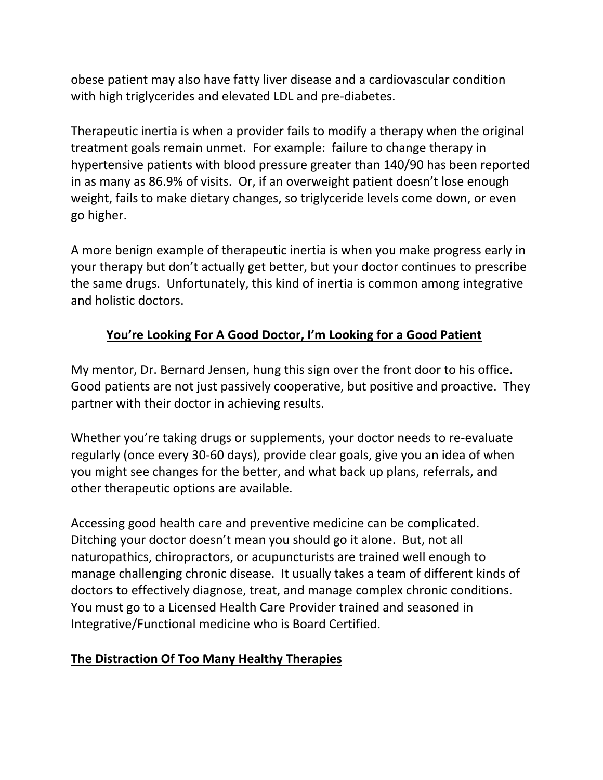obese patient may also have fatty liver disease and a cardiovascular condition with high triglycerides and elevated LDL and pre-diabetes.

Therapeutic inertia is when a provider fails to modify a therapy when the original treatment goals remain unmet. For example: failure to change therapy in hypertensive patients with blood pressure greater than 140/90 has been reported in as many as 86.9% of visits. Or, if an overweight patient doesn't lose enough weight, fails to make dietary changes, so triglyceride levels come down, or even go higher.

A more benign example of therapeutic inertia is when you make progress early in your therapy but don't actually get better, but your doctor continues to prescribe the same drugs. Unfortunately, this kind of inertia is common among integrative and holistic doctors.

# **You're Looking For A Good Doctor, I'm Looking for a Good Patient**

My mentor, Dr. Bernard Jensen, hung this sign over the front door to his office. Good patients are not just passively cooperative, but positive and proactive. They partner with their doctor in achieving results.

Whether you're taking drugs or supplements, your doctor needs to re-evaluate regularly (once every 30-60 days), provide clear goals, give you an idea of when you might see changes for the better, and what back up plans, referrals, and other therapeutic options are available.

Accessing good health care and preventive medicine can be complicated. Ditching your doctor doesn't mean you should go it alone. But, not all naturopathics, chiropractors, or acupuncturists are trained well enough to manage challenging chronic disease. It usually takes a team of different kinds of doctors to effectively diagnose, treat, and manage complex chronic conditions. You must go to a Licensed Health Care Provider trained and seasoned in Integrative/Functional medicine who is Board Certified.

### **The Distraction Of Too Many Healthy Therapies**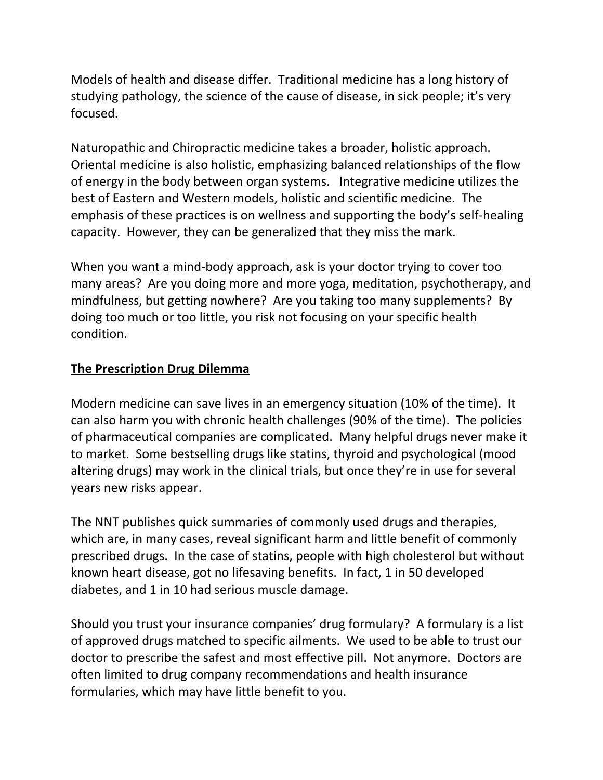Models of health and disease differ. Traditional medicine has a long history of studying pathology, the science of the cause of disease, in sick people; it's very focused.

Naturopathic and Chiropractic medicine takes a broader, holistic approach. Oriental medicine is also holistic, emphasizing balanced relationships of the flow of energy in the body between organ systems. Integrative medicine utilizes the best of Eastern and Western models, holistic and scientific medicine. The emphasis of these practices is on wellness and supporting the body's self-healing capacity. However, they can be generalized that they miss the mark.

When you want a mind-body approach, ask is your doctor trying to cover too many areas? Are you doing more and more yoga, meditation, psychotherapy, and mindfulness, but getting nowhere? Are you taking too many supplements? By doing too much or too little, you risk not focusing on your specific health condition.

### **The Prescription Drug Dilemma**

Modern medicine can save lives in an emergency situation (10% of the time). It can also harm you with chronic health challenges (90% of the time). The policies of pharmaceutical companies are complicated. Many helpful drugs never make it to market. Some bestselling drugs like statins, thyroid and psychological (mood altering drugs) may work in the clinical trials, but once they're in use for several years new risks appear.

The NNT publishes quick summaries of commonly used drugs and therapies, which are, in many cases, reveal significant harm and little benefit of commonly prescribed drugs. In the case of statins, people with high cholesterol but without known heart disease, got no lifesaving benefits. In fact, 1 in 50 developed diabetes, and 1 in 10 had serious muscle damage.

Should you trust your insurance companies' drug formulary? A formulary is a list of approved drugs matched to specific ailments. We used to be able to trust our doctor to prescribe the safest and most effective pill. Not anymore. Doctors are often limited to drug company recommendations and health insurance formularies, which may have little benefit to you.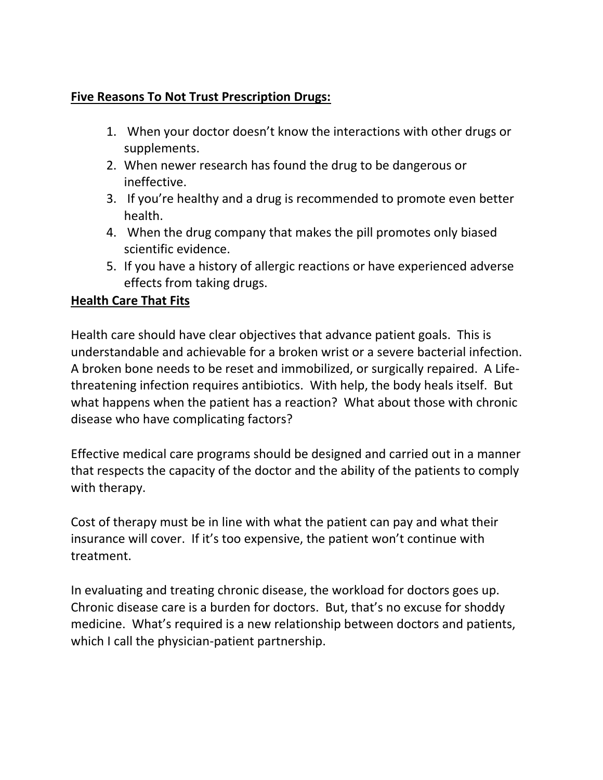### **Five Reasons To Not Trust Prescription Drugs:**

- 1. When your doctor doesn't know the interactions with other drugs or supplements.
- 2. When newer research has found the drug to be dangerous or ineffective.
- 3. If you're healthy and a drug is recommended to promote even better health.
- 4. When the drug company that makes the pill promotes only biased scientific evidence.
- 5. If you have a history of allergic reactions or have experienced adverse effects from taking drugs.

#### **Health Care That Fits**

Health care should have clear objectives that advance patient goals. This is understandable and achievable for a broken wrist or a severe bacterial infection. A broken bone needs to be reset and immobilized, or surgically repaired. A Lifethreatening infection requires antibiotics. With help, the body heals itself. But what happens when the patient has a reaction? What about those with chronic disease who have complicating factors?

Effective medical care programs should be designed and carried out in a manner that respects the capacity of the doctor and the ability of the patients to comply with therapy.

Cost of therapy must be in line with what the patient can pay and what their insurance will cover. If it's too expensive, the patient won't continue with treatment.

In evaluating and treating chronic disease, the workload for doctors goes up. Chronic disease care is a burden for doctors. But, that's no excuse for shoddy medicine. What's required is a new relationship between doctors and patients, which I call the physician-patient partnership.